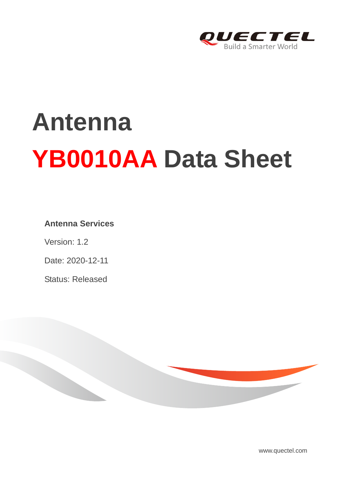

# **Antenna YB0010AA Data Sheet**

## **Antenna Services**

Version: 1.2

Date: 2020-12-11

Status: Released



[www.quectel.com](http://www.quectel.com/)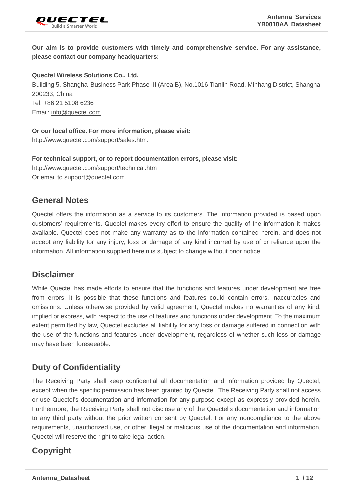

**Our aim is to provide customers with timely and comprehensive service. For any assistance, please contact our company headquarters:**

### **Quectel Wireless Solutions Co., Ltd.**

Building 5, Shanghai Business Park Phase III (Area B), No.1016 Tianlin Road, Minhang District, Shanghai 200233, China Tel: +86 21 5108 6236 Email: [info@quectel.com](mailto:info@quectel.com)

#### **Or our local office. For more information, please visit:**

[http://www.quectel.com/support/sales.htm.](http://www.quectel.com/support/sales.htm)

**For technical support, or to report documentation errors, please visit:** 

<http://www.quectel.com/support/technical.htm> Or email to [support@quectel.com.](mailto:support@quectel.com)

## **General Notes**

Quectel offers the information as a service to its customers. The information provided is based upon customers' requirements. Quectel makes every effort to ensure the quality of the information it makes available. Quectel does not make any warranty as to the information contained herein, and does not accept any liability for any injury, loss or damage of any kind incurred by use of or reliance upon the information. All information supplied herein is subject to change without prior notice.

## **Disclaimer**

While Quectel has made efforts to ensure that the functions and features under development are free from errors, it is possible that these functions and features could contain errors, inaccuracies and omissions. Unless otherwise provided by valid agreement, Quectel makes no warranties of any kind, implied or express, with respect to the use of features and functions under development. To the maximum extent permitted by law, Quectel excludes all liability for any loss or damage suffered in connection with the use of the functions and features under development, regardless of whether such loss or damage may have been foreseeable.

## **Duty of Confidentiality**

The Receiving Party shall keep confidential all documentation and information provided by Quectel, except when the specific permission has been granted by Quectel. The Receiving Party shall not access or use Quectel's documentation and information for any purpose except as expressly provided herein. Furthermore, the Receiving Party shall not disclose any of the Quectel's documentation and information to any third party without the prior written consent by Quectel. For any noncompliance to the above requirements, unauthorized use, or other illegal or malicious use of the documentation and information, Quectel will reserve the right to take legal action.

## **Copyright**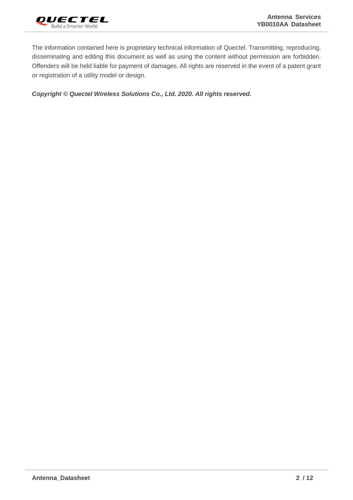

The information contained here is proprietary technical information of Quectel. Transmitting, reproducing, disseminating and editing this document as well as using the content without permission are forbidden. Offenders will be held liable for payment of damages. All rights are reserved in the event of a patent grant or registration of a utility model or design.

*Copyright © Quectel Wireless Solutions Co., Ltd. 2020. All rights reserved.*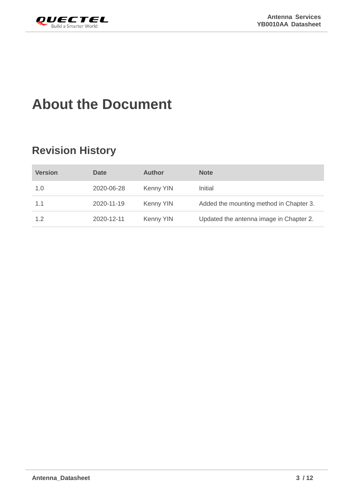<span id="page-3-0"></span>

# **About the Document**

# **Revision History**

| <b>Version</b> | <b>Date</b> | <b>Author</b>    | <b>Note</b>                             |
|----------------|-------------|------------------|-----------------------------------------|
| 1.0            | 2020-06-28  | Kenny YIN        | Initial                                 |
| 1.1            | 2020-11-19  | <b>Kenny YIN</b> | Added the mounting method in Chapter 3. |
| 1.2            | 2020-12-11  | Kenny YIN        | Updated the antenna image in Chapter 2. |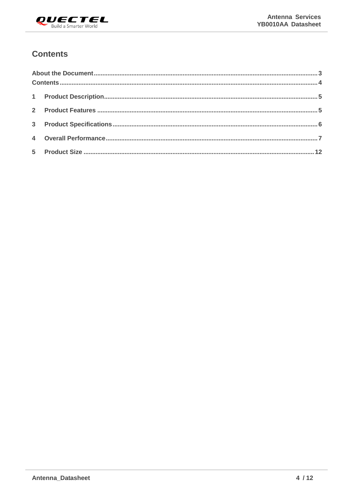

## <span id="page-4-0"></span>**Contents**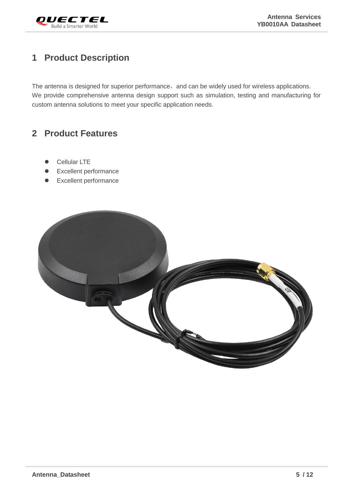

# <span id="page-5-0"></span>**1 Product Description**

The antenna is designed for superior performance, and can be widely used for wireless applications. We provide comprehensive antenna design support such as simulation, testing and manufacturing for custom antenna solutions to meet your specific application needs.

## <span id="page-5-1"></span>**2 Product Features**

- Cellular LTE
- ⚫ Excellent performance
- ⚫ Excellent performance

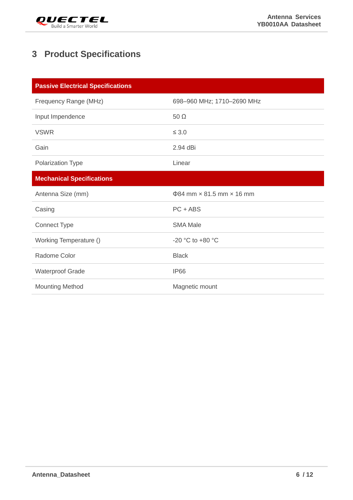

# <span id="page-6-0"></span>**3 Product Specifications**

| <b>Passive Electrical Specifications</b> |                                              |  |  |  |  |
|------------------------------------------|----------------------------------------------|--|--|--|--|
| Frequency Range (MHz)                    | 698-960 MHz; 1710-2690 MHz                   |  |  |  |  |
| Input Impendence                         | $50 \Omega$                                  |  |  |  |  |
| <b>VSWR</b>                              | $\leq 3.0$                                   |  |  |  |  |
| Gain                                     | 2.94 dBi                                     |  |  |  |  |
| <b>Polarization Type</b>                 | Linear                                       |  |  |  |  |
| <b>Mechanical Specifications</b>         |                                              |  |  |  |  |
|                                          |                                              |  |  |  |  |
| Antenna Size (mm)                        | $\Phi$ 84 mm $\times$ 81.5 mm $\times$ 16 mm |  |  |  |  |
| Casing                                   | $PC + ABS$                                   |  |  |  |  |
| <b>Connect Type</b>                      | <b>SMA Male</b>                              |  |  |  |  |
| Working Temperature ()                   | -20 °C to +80 °C                             |  |  |  |  |
| Radome Color                             | <b>Black</b>                                 |  |  |  |  |
| <b>Waterproof Grade</b>                  | <b>IP66</b>                                  |  |  |  |  |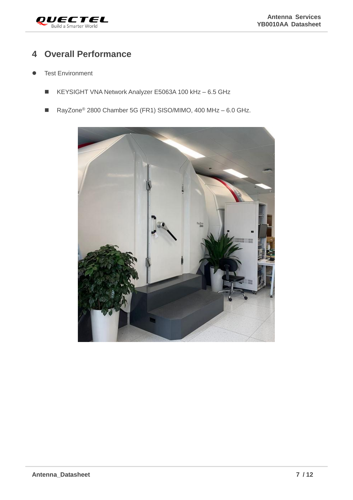

# <span id="page-7-0"></span>**4 Overall Performance**

- **•** Test Environment
	- KEYSIGHT VNA Network Analyzer E5063A 100 kHz 6.5 GHz
	- RayZone<sup>®</sup> 2800 Chamber 5G (FR1) SISO/MIMO, 400 MHz 6.0 GHz.

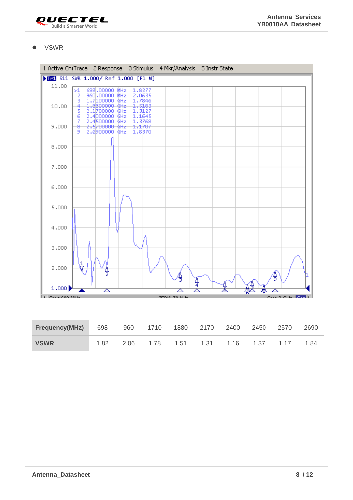

⚫ VSWR



| <b>Frequency(MHz)</b> 698 960 1710 1880 2170 2400 2450 |      |                               |  |  | 2570 | 2690 |
|--------------------------------------------------------|------|-------------------------------|--|--|------|------|
| <b>VSWR</b>                                            | 1.82 | 2.06 1.78 1.51 1.31 1.16 1.37 |  |  | 1.17 | 1.84 |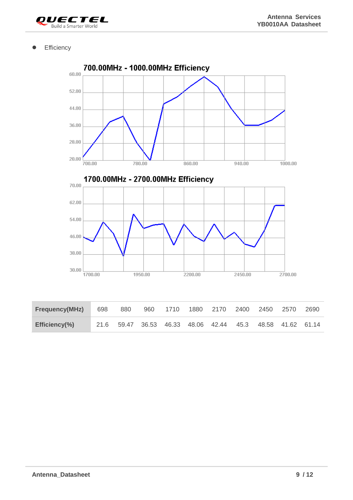

**•** Efficiency

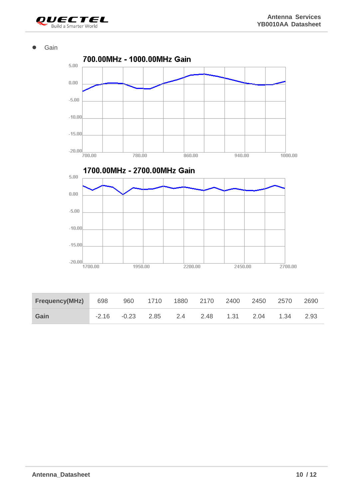

⚫ Gain

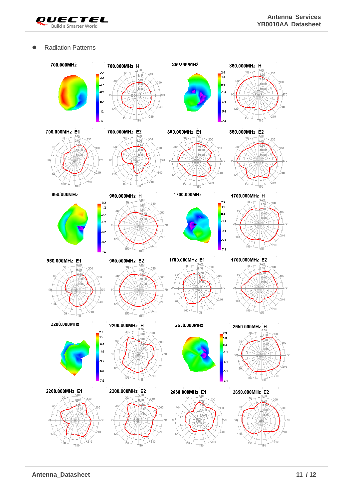

### ● Radiation Patterns